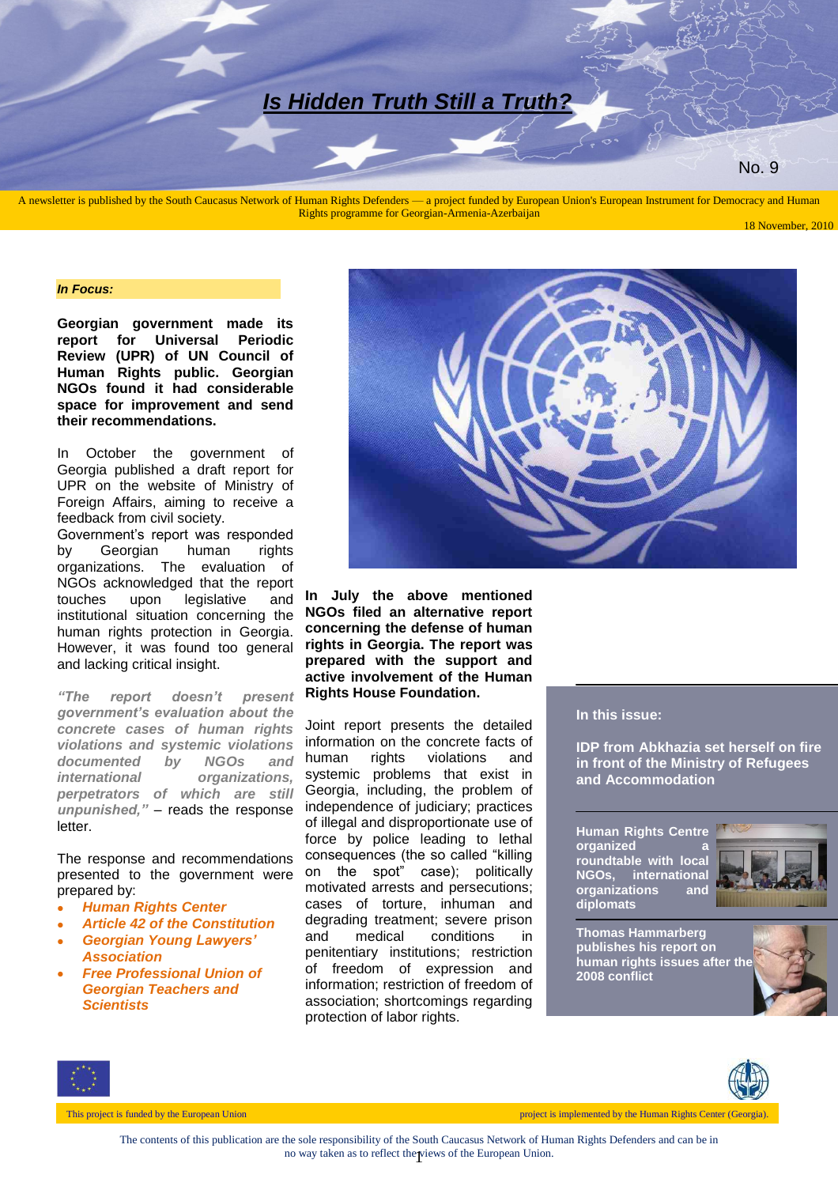# *Is Hidden Truth Still a Truth?*

No. 9

A newsletter is published by the South Caucasus Network of Human Rights Defenders — a project funded by European Union's European Instrument for Democracy and Human Rights programme for Georgian-Armenia-Azerbaijan

#### *In Focus:*

**Georgian government made its report for Universal Periodic Review (UPR) of UN Council of Human Rights public. Georgian NGOs found it had considerable space for improvement and send their recommendations.**

In October the government of Georgia published a draft report for UPR on the website of Ministry of Foreign Affairs, aiming to receive a feedback from civil society. Government's report was responded by Georgian human rights organizations. The evaluation of NGOs acknowledged that the report touches upon legislative and institutional situation concerning the human rights protection in Georgia. However, it was found too general and lacking critical insight.

*"The report doesn't present government's evaluation about the concrete cases of human rights violations and systemic violations documented by NGOs and international organizations, perpetrators of which are still unpunished,"* – reads the response letter.

The response and recommendations presented to the government were prepared by:

- *Human Rights Center*
- *Article 42 of the Constitution*
- *Georgian Young Lawyers' Association*
- *Free Professional Union of Georgian Teachers and Scientists*



**In July the above mentioned NGOs filed an alternative report concerning the defense of human rights in Georgia. The report was prepared with the support and active involvement of the Human Rights House Foundation.**

Joint report presents the detailed information on the concrete facts of human rights violations and systemic problems that exist in Georgia, including, the problem of independence of judiciary; practices of illegal and disproportionate use of force by police leading to lethal consequences (the so called "killing on the spot" case); politically motivated arrests and persecutions; cases of torture, inhuman and degrading treatment; severe prison and medical conditions in penitentiary institutions; restriction of freedom of expression and information; restriction of freedom of association; shortcomings regarding protection of labor rights.

#### **In this issue:**

**IDP from Abkhazia set herself on fire in front of the Ministry of Refugees and Accommodation**

**Human Rights Centre organized a roundtable with local NGOs, international organizations and diplomats**



**Thomas Hammarberg publishes his report on human rights issues after the 2008 conflict**





This project is funded by the European Union This project is implemented by the Human Rights Center (Georgia).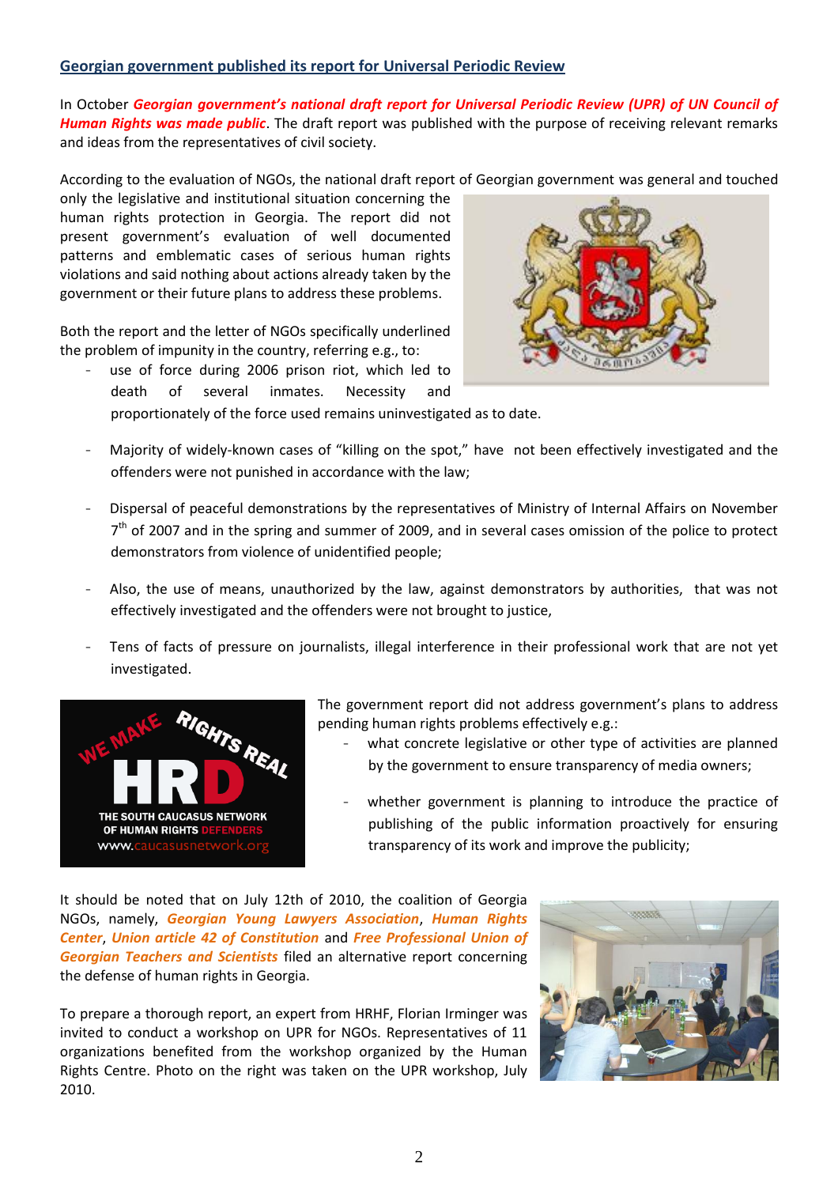#### **Georgian government published its report for Universal Periodic Review**

In October *Georgian government's national draft report for Universal Periodic Review (UPR) of UN Council of Human Rights was made public*. The draft report was published with the purpose of receiving relevant remarks and ideas from the representatives of civil society.

According to the evaluation of NGOs, the national draft report of Georgian government was general and touched

only the legislative and institutional situation concerning the human rights protection in Georgia. The report did not present government's evaluation of well documented patterns and emblematic cases of serious human rights violations and said nothing about actions already taken by the government or their future plans to address these problems.

Both the report and the letter of NGOs specifically underlined the problem of impunity in the country, referring e.g., to:

use of force during 2006 prison riot, which led to death of several inmates. Necessity and



proportionately of the force used remains uninvestigated as to date.

- Majority of widely-known cases of "killing on the spot," have not been effectively investigated and the offenders were not punished in accordance with the law;
- Dispersal of peaceful demonstrations by the representatives of Ministry of Internal Affairs on November 7<sup>th</sup> of 2007 and in the spring and summer of 2009, and in several cases omission of the police to protect demonstrators from violence of unidentified people;
- Also, the use of means, unauthorized by the law, against demonstrators by authorities, that was not effectively investigated and the offenders were not brought to justice,
- Tens of facts of pressure on journalists, illegal interference in their professional work that are not yet investigated.



The government report did not address government's plans to address pending human rights problems effectively e.g.:

- what concrete legislative or other type of activities are planned by the government to ensure transparency of media owners;
- whether government is planning to introduce the practice of publishing of the public information proactively for ensuring transparency of its work and improve the publicity;

It should be noted that on July 12th of 2010, the coalition of Georgia NGOs, namely, *Georgian Young Lawyers Association*, *Human Rights Center*, *Union article 42 of Constitution* and *Free Professional Union of Georgian Teachers and Scientists* filed an alternative report concerning the defense of human rights in Georgia.

To prepare a thorough report, an expert from HRHF, Florian Irminger was invited to conduct a workshop on UPR for NGOs. Representatives of 11 organizations benefited from the workshop organized by the Human Rights Centre. Photo on the right was taken on the UPR workshop, July 2010.

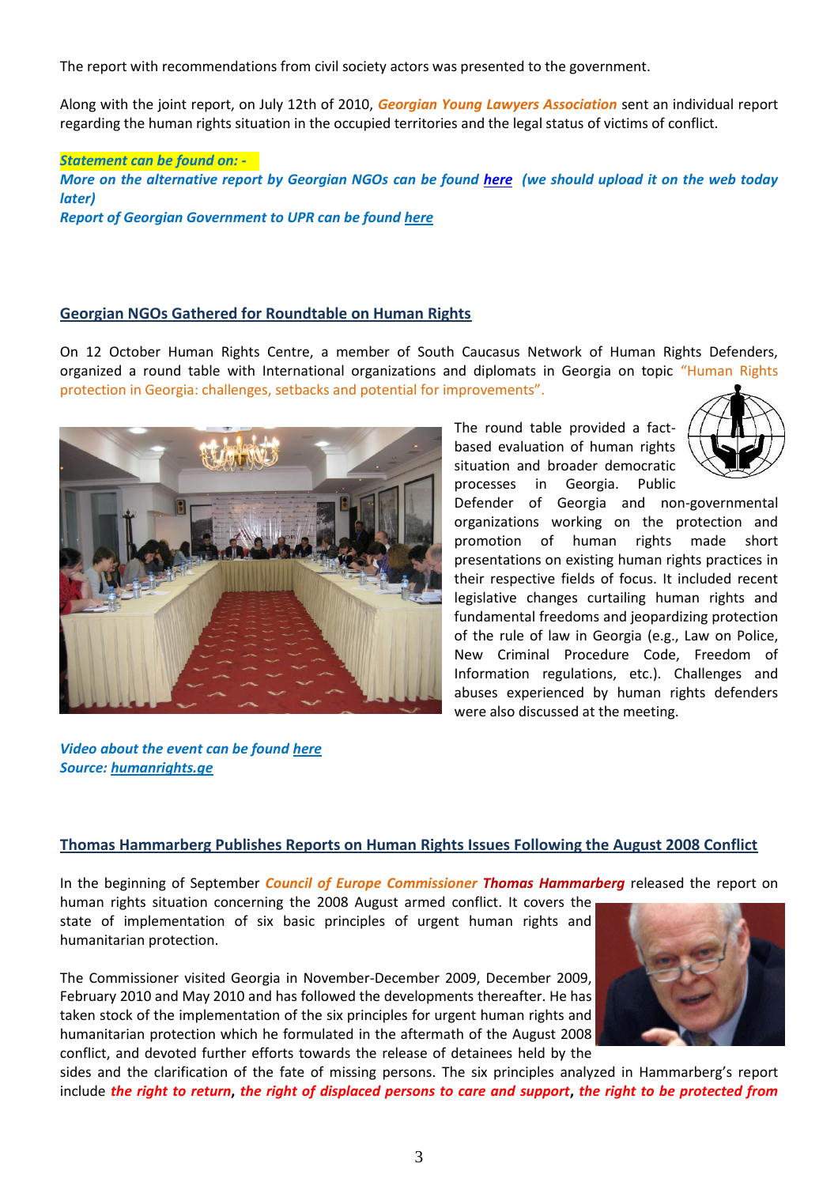The report with recommendations from civil society actors was presented to the government.

Along with the joint report, on July 12th of 2010, *Georgian Young Lawyers Association* sent an individual report regarding the human rights situation in the occupied territories and the legal status of victims of conflict.

#### *Statement can be found on: -*

*More on the alternative report by Georgian NGOs can be found [here](http://humanrightshouse.org/Articles/14757.html) (we should upload it on the web today later) Report of Georgian Government to UPR can be found [here](http://www.mfa.gov.ge/index.php?lang_id=GEO&sec_id=628)*

#### **Georgian NGOs Gathered for Roundtable on Human Rights**

On 12 October Human Rights Centre, a member of South Caucasus Network of Human Rights Defenders, organized a round table with International organizations and diplomats in Georgia on topic "Human Rights protection in Georgia: challenges, setbacks and potential for improvements".



The round table provided a factbased evaluation of human rights situation and broader democratic processes in Georgia. Public



Defender of Georgia and non-governmental organizations working on the protection and promotion of human rights made short presentations on existing human rights practices in their respective fields of focus. It included recent legislative changes curtailing human rights and fundamental freedoms and jeopardizing protection of the rule of law in Georgia (e.g., Law on Police, New Criminal Procedure Code, Freedom of Information regulations, etc.). Challenges and abuses experienced by human rights defenders were also discussed at the meeting.

*Video about the event can be found [here](http://hridc.tv/index.php?a=view&id=471&lang=geo)  Source: [humanrights.ge](http://humanrights.ge/index.php?a=main&pid=12397&lang=eng)*

#### **Thomas Hammarberg Publishes Reports on Human Rights Issues Following the August 2008 Conflict**

In the beginning of September *Council of Europe Commissioner Thomas Hammarberg* released the report on

human rights situation concerning the 2008 August armed conflict. It covers the state of implementation of six basic principles of urgent human rights and humanitarian protection.

The Commissioner visited Georgia in November-December 2009, December 2009, February 2010 and May 2010 and has followed the developments thereafter. He has taken stock of the implementation of the six principles for urgent human rights and humanitarian protection which he formulated in the aftermath of the August 2008 conflict, and devoted further efforts towards the release of detainees held by the



sides and the clarification of the fate of missing persons. The six principles analyzed in Hammarberg's report include *the right to return***,** *the right of displaced persons to care and support***,** *the right to be protected from*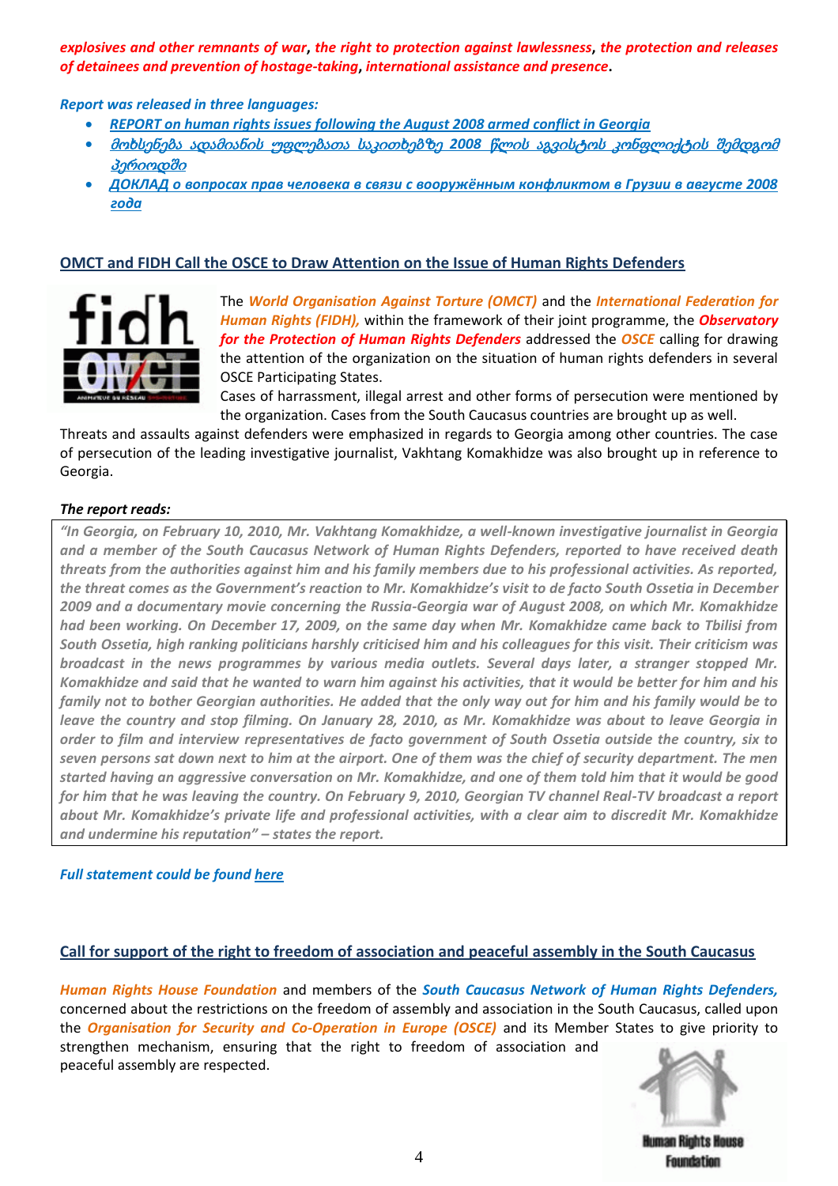*explosives and other remnants of war***,** *the right to protection against lawlessness***,** *the protection and releases of detainees and prevention of hostage-taking***,** *international assistance and presence***.**

*Report was released in three languages:*

- *[REPORT on human rights issues following the August 2008 armed conflict in Georgia](http://www.caucasusnetwork.org/admin/editor/uploads/files/reports/Hammarberg%20HR%20issues%20ENG.pdf)*
- მოხსენება ადამიანის უფლებათა საკითხებზე *2008* წლის აგვისტოს [კონფლიქტის](http://www.caucasusnetwork.org/admin/editor/uploads/files/reports/Hammarberg%20HR%20issues%20GEO.pdf) შემდგომ [პერიოდში](http://www.caucasusnetwork.org/admin/editor/uploads/files/reports/Hammarberg%20HR%20issues%20GEO.pdf)
- *[ДОКЛАД о вопросах прав человека в связи с вооружённым конфликтом в Грузии в августе 2008](http://www.caucasusnetwork.org/admin/editor/uploads/files/reports/Hammarberg%20HR%20issues%20RUS.pdf)  [года](http://www.caucasusnetwork.org/admin/editor/uploads/files/reports/Hammarberg%20HR%20issues%20RUS.pdf)*

# **OMCT and FIDH Call the OSCE to Draw Attention on the Issue of Human Rights Defenders**



The *World Organisation Against Torture (OMCT)* and the *International Federation for Human Rights (FIDH),* within the framework of their joint programme, the *Observatory for the Protection of Human Rights Defenders* addressed the *OSCE* calling for drawing the attention of the organization on the situation of human rights defenders in several OSCE Participating States.

Cases of harrassment, illegal arrest and other forms of persecution were mentioned by the organization. Cases from the South Caucasus countries are brought up as well.

Threats and assaults against defenders were emphasized in regards to Georgia among other countries. The case of persecution of the leading investigative journalist, Vakhtang Komakhidze was also brought up in reference to Georgia.

#### *The report reads:*

*"In Georgia, on February 10, 2010, Mr. Vakhtang Komakhidze, a well-known investigative journalist in Georgia and a member of the South Caucasus Network of Human Rights Defenders, reported to have received death threats from the authorities against him and his family members due to his professional activities. As reported, the threat comes as the Government's reaction to Mr. Komakhidze's visit to de facto South Ossetia in December 2009 and a documentary movie concerning the Russia-Georgia war of August 2008, on which Mr. Komakhidze had been working. On December 17, 2009, on the same day when Mr. Komakhidze came back to Tbilisi from South Ossetia, high ranking politicians harshly criticised him and his colleagues for this visit. Their criticism was broadcast in the news programmes by various media outlets. Several days later, a stranger stopped Mr. Komakhidze and said that he wanted to warn him against his activities, that it would be better for him and his family not to bother Georgian authorities. He added that the only way out for him and his family would be to leave the country and stop filming. On January 28, 2010, as Mr. Komakhidze was about to leave Georgia in order to film and interview representatives de facto government of South Ossetia outside the country, six to seven persons sat down next to him at the airport. One of them was the chief of security department. The men started having an aggressive conversation on Mr. Komakhidze, and one of them told him that it would be good for him that he was leaving the country. On February 9, 2010, Georgian TV channel Real-TV broadcast a report about Mr. Komakhidze's private life and professional activities, with a clear aim to discredit Mr. Komakhidze and undermine his reputation" – states the report.*

## *Full statement could be found [here](http://www.caucasusnetwork.org/admin/editor/uploads/files/pdf/OSCE%201010_Intervention%20%C3%A9crite%20Observatoire.pdf)*

## **Call for support of the right to freedom of association and peaceful assembly in the South Caucasus**

*Human Rights House Foundation* and members of the *South Caucasus Network of Human Rights Defenders,* concerned about the restrictions on the freedom of assembly and association in the South Caucasus, called upon the *Organisation for Security and Co-Operation in Europe (OSCE)* and its Member States to give priority to strengthen mechanism, ensuring that the right to freedom of association and peaceful assembly are respected.



Human Rights House Foundation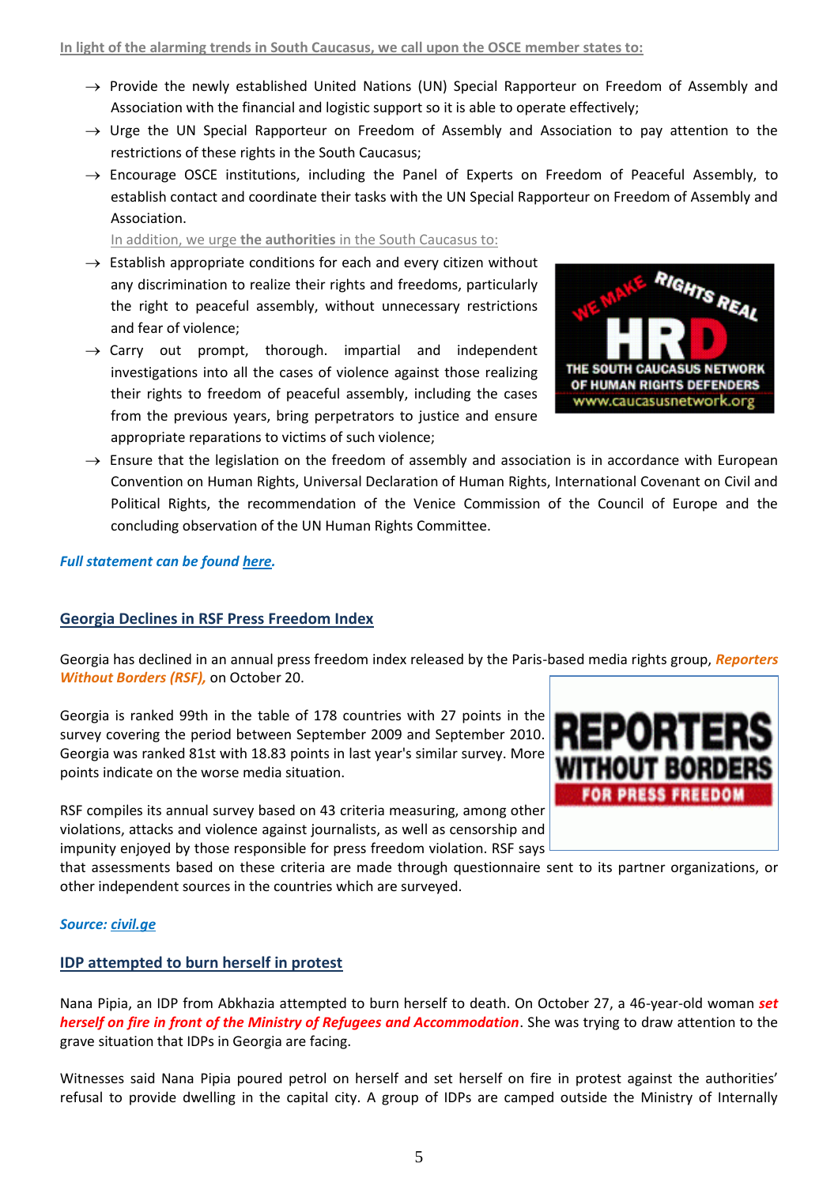- $\rightarrow$  Provide the newly established United Nations (UN) Special Rapporteur on Freedom of Assembly and Association with the financial and logistic support so it is able to operate effectively;
- $\rightarrow$  Urge the UN Special Rapporteur on Freedom of Assembly and Association to pay attention to the restrictions of these rights in the South Caucasus;
- $\rightarrow$  Encourage OSCE institutions, including the Panel of Experts on Freedom of Peaceful Assembly, to establish contact and coordinate their tasks with the UN Special Rapporteur on Freedom of Assembly and Association.

In addition, we urge **the authorities** in the South Caucasus to:

- $\rightarrow$  Establish appropriate conditions for each and every citizen without any discrimination to realize their rights and freedoms, particularly the right to peaceful assembly, without unnecessary restrictions and fear of violence;
- $\rightarrow$  Carry out prompt, thorough. impartial and independent investigations into all the cases of violence against those realizing their rights to freedom of peaceful assembly, including the cases from the previous years, bring perpetrators to justice and ensure appropriate reparations to victims of such violence;



 $\rightarrow$  Ensure that the legislation on the freedom of assembly and association is in accordance with European Convention on Human Rights, Universal Declaration of Human Rights, International Covenant on Civil and Political Rights, the recommendation of the Venice Commission of the Council of Europe and the concluding observation of the UN Human Rights Committee.

#### *Full statement can be found [here.](http://www.caucasusnetwork.org/admin/editor/uploads/files/pdf/Call%20upon%20OSCE%20regarding%20freedom%20of%20association%20and%20assembly.pdf)*

## **Georgia Declines in RSF Press Freedom Index**

Georgia has declined in an annual press freedom index released by the Paris-based media rights group, *Reporters Without Borders (RSF),* on October 20.

Georgia is ranked 99th in the table of 178 countries with 27 points in the survey covering the period between September 2009 and September 2010. Georgia was ranked 81st with 18.83 points in last year's similar survey. More points indicate on the worse media situation.

RSF compiles its annual survey based on 43 criteria measuring, among other violations, attacks and violence against journalists, as well as censorship and impunity enjoyed by those responsible for press freedom violation. RSF says

that assessments based on these criteria are made through questionnaire sent to its partner organizations, or other independent sources in the countries which are surveyed.

#### *Source[: civil.ge](http://www.civil.ge/eng/article.php?id=22771)*

#### **IDP attempted to burn herself in protest**

Nana Pipia, an IDP from Abkhazia attempted to burn herself to death. On October 27, a 46-year-old woman *set herself on fire in front of the Ministry of Refugees and Accommodation*. She was trying to draw attention to the grave situation that IDPs in Georgia are facing.

Witnesses said Nana Pipia poured petrol on herself and set herself on fire in protest against the authorities' refusal to provide dwelling in the capital city. A group of IDPs are camped outside the Ministry of Internally

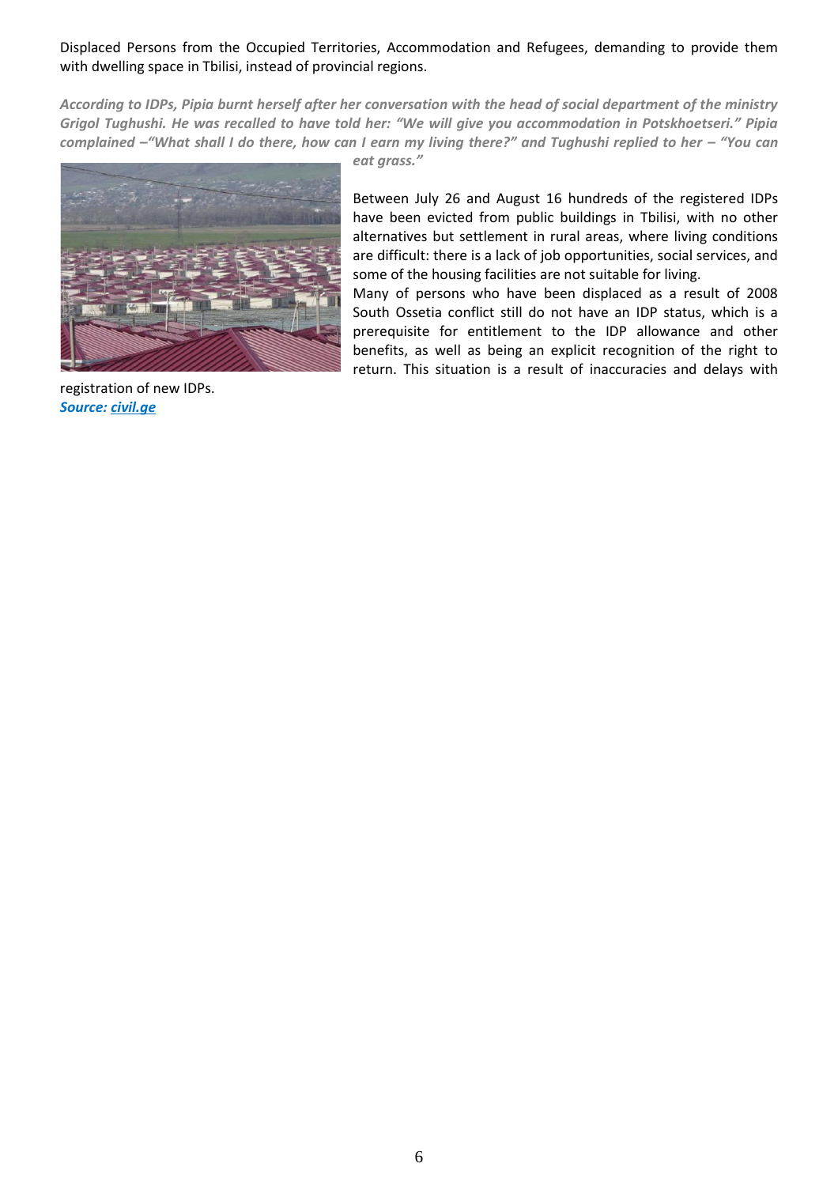Displaced Persons from the Occupied Territories, Accommodation and Refugees, demanding to provide them with dwelling space in Tbilisi, instead of provincial regions.

*According to IDPs, Pipia burnt herself after her conversation with the head of social department of the ministry Grigol Tughushi. He was recalled to have told her: "We will give you accommodation in Potskhoetseri." Pipia complained –"What shall I do there, how can I earn my living there?" and Tughushi replied to her – "You can* 



registration of new IDPs. *Source[: civil.ge](http://www.civil.ge/eng/article.php?id=22788&search=)*

*eat grass."*

Between July 26 and August 16 hundreds of the registered IDPs have been evicted from public buildings in Tbilisi, with no other alternatives but settlement in rural areas, where living conditions are difficult: there is a lack of job opportunities, social services, and some of the housing facilities are not suitable for living.

Many of persons who have been displaced as a result of 2008 South Ossetia conflict still do not have an IDP status, which is a prerequisite for entitlement to the IDP allowance and other benefits, as well as being an explicit recognition of the right to return. This situation is a result of inaccuracies and delays with